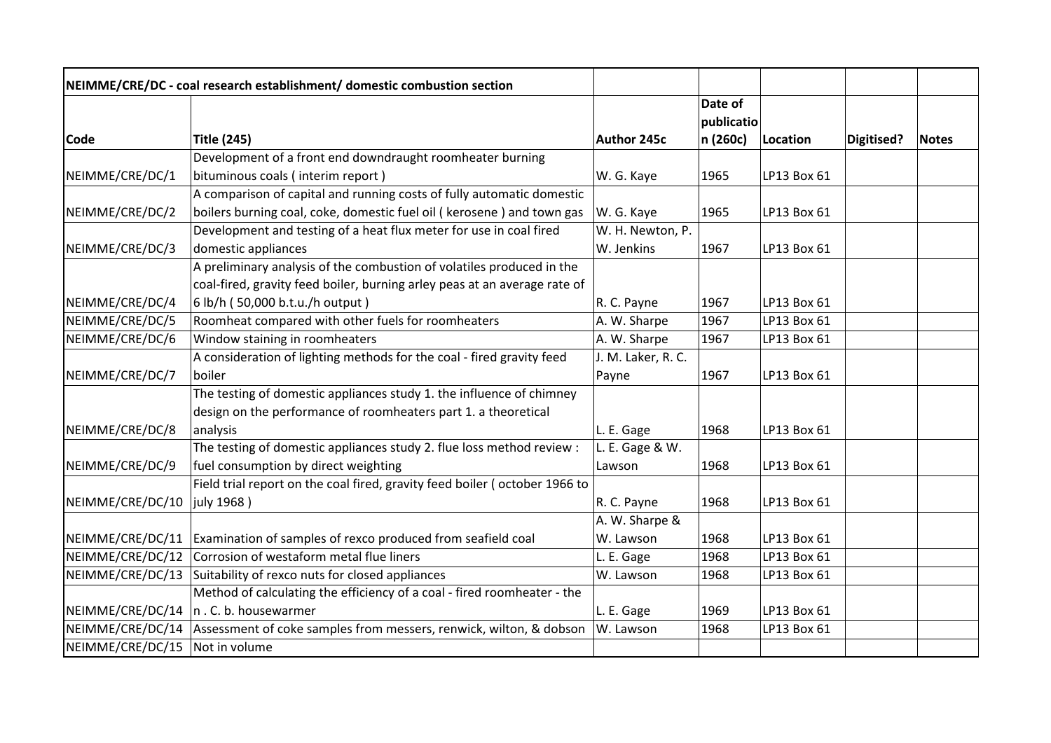|                  | NEIMME/CRE/DC - coal research establishment/ domestic combustion section   |                    |            |             |            |              |
|------------------|----------------------------------------------------------------------------|--------------------|------------|-------------|------------|--------------|
|                  |                                                                            |                    | Date of    |             |            |              |
|                  |                                                                            |                    | publicatio |             |            |              |
| Code             | <b>Title (245)</b>                                                         | Author 245c        | n (260c)   | Location    | Digitised? | <b>Notes</b> |
|                  | Development of a front end downdraught roomheater burning                  |                    |            |             |            |              |
| NEIMME/CRE/DC/1  | bituminous coals (interim report)                                          | W. G. Kaye         | 1965       | LP13 Box 61 |            |              |
|                  | A comparison of capital and running costs of fully automatic domestic      |                    |            |             |            |              |
| NEIMME/CRE/DC/2  | boilers burning coal, coke, domestic fuel oil ( kerosene ) and town gas    | W. G. Kaye         | 1965       | LP13 Box 61 |            |              |
|                  | Development and testing of a heat flux meter for use in coal fired         | W. H. Newton, P.   |            |             |            |              |
| NEIMME/CRE/DC/3  | domestic appliances                                                        | W. Jenkins         | 1967       | LP13 Box 61 |            |              |
|                  | A preliminary analysis of the combustion of volatiles produced in the      |                    |            |             |            |              |
|                  | coal-fired, gravity feed boiler, burning arley peas at an average rate of  |                    |            |             |            |              |
| NEIMME/CRE/DC/4  | 6 lb/h (50,000 b.t.u./h output)                                            | R. C. Payne        | 1967       | LP13 Box 61 |            |              |
| NEIMME/CRE/DC/5  | Roomheat compared with other fuels for roomheaters                         | A. W. Sharpe       | 1967       | LP13 Box 61 |            |              |
| NEIMME/CRE/DC/6  | Window staining in roomheaters                                             | A. W. Sharpe       | 1967       | LP13 Box 61 |            |              |
|                  | A consideration of lighting methods for the coal - fired gravity feed      | J. M. Laker, R. C. |            |             |            |              |
| NEIMME/CRE/DC/7  | boiler                                                                     | Payne              | 1967       | LP13 Box 61 |            |              |
|                  | The testing of domestic appliances study 1. the influence of chimney       |                    |            |             |            |              |
|                  | design on the performance of roomheaters part 1. a theoretical             |                    |            |             |            |              |
| NEIMME/CRE/DC/8  | analysis                                                                   | L. E. Gage         | 1968       | LP13 Box 61 |            |              |
|                  | The testing of domestic appliances study 2. flue loss method review :      | L. E. Gage & W.    |            |             |            |              |
| NEIMME/CRE/DC/9  | fuel consumption by direct weighting                                       | Lawson             | 1968       | LP13 Box 61 |            |              |
|                  | Field trial report on the coal fired, gravity feed boiler (october 1966 to |                    |            |             |            |              |
| NEIMME/CRE/DC/10 | july 1968)                                                                 | R. C. Payne        | 1968       | LP13 Box 61 |            |              |
|                  |                                                                            | A. W. Sharpe &     |            |             |            |              |
| NEIMME/CRE/DC/11 | Examination of samples of rexco produced from seafield coal                | W. Lawson          | 1968       | LP13 Box 61 |            |              |
| NEIMME/CRE/DC/12 | Corrosion of westaform metal flue liners                                   | L. E. Gage         | 1968       | LP13 Box 61 |            |              |
| NEIMME/CRE/DC/13 | Suitability of rexco nuts for closed appliances                            | W. Lawson          | 1968       | LP13 Box 61 |            |              |
|                  | Method of calculating the efficiency of a coal - fired roomheater - the    |                    |            |             |            |              |
|                  | NEIMME/CRE/DC/14  n.C.b. housewarmer                                       | L. E. Gage         | 1969       | LP13 Box 61 |            |              |
| NEIMME/CRE/DC/14 | Assessment of coke samples from messers, renwick, wilton, & dobson         | W. Lawson          | 1968       | LP13 Box 61 |            |              |
| NEIMME/CRE/DC/15 | Not in volume                                                              |                    |            |             |            |              |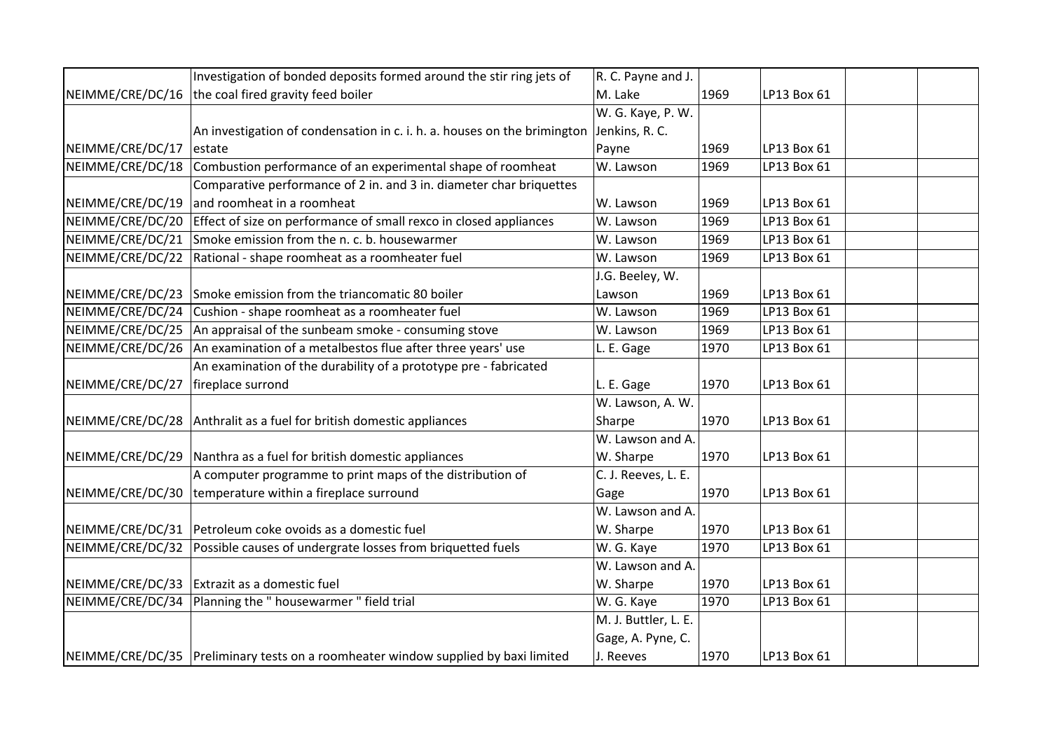|                  | Investigation of bonded deposits formed around the stir ring jets of               | R. C. Payne and J.   |      |             |  |
|------------------|------------------------------------------------------------------------------------|----------------------|------|-------------|--|
| NEIMME/CRE/DC/16 | the coal fired gravity feed boiler                                                 | M. Lake              | 1969 | LP13 Box 61 |  |
|                  |                                                                                    | W. G. Kaye, P. W.    |      |             |  |
|                  | An investigation of condensation in c. i. h. a. houses on the brimington           | Jenkins, R. C.       |      |             |  |
| NEIMME/CRE/DC/17 | estate                                                                             | Payne                | 1969 | LP13 Box 61 |  |
| NEIMME/CRE/DC/18 | Combustion performance of an experimental shape of roomheat                        | W. Lawson            | 1969 | LP13 Box 61 |  |
|                  | Comparative performance of 2 in. and 3 in. diameter char briquettes                |                      |      |             |  |
| NEIMME/CRE/DC/19 | and roomheat in a roomheat                                                         | W. Lawson            | 1969 | LP13 Box 61 |  |
| NEIMME/CRE/DC/20 | Effect of size on performance of small rexco in closed appliances                  | W. Lawson            | 1969 | LP13 Box 61 |  |
| NEIMME/CRE/DC/21 | Smoke emission from the n. c. b. housewarmer                                       | W. Lawson            | 1969 | LP13 Box 61 |  |
| NEIMME/CRE/DC/22 | Rational - shape roomheat as a roomheater fuel                                     | W. Lawson            | 1969 | LP13 Box 61 |  |
|                  |                                                                                    | J.G. Beeley, W.      |      |             |  |
| NEIMME/CRE/DC/23 | Smoke emission from the triancomatic 80 boiler                                     | Lawson               | 1969 | LP13 Box 61 |  |
| NEIMME/CRE/DC/24 | Cushion - shape roomheat as a roomheater fuel                                      | W. Lawson            | 1969 | LP13 Box 61 |  |
| NEIMME/CRE/DC/25 | An appraisal of the sunbeam smoke - consuming stove                                | W. Lawson            | 1969 | LP13 Box 61 |  |
| NEIMME/CRE/DC/26 | An examination of a metalbestos flue after three years' use                        | L. E. Gage           | 1970 | LP13 Box 61 |  |
|                  | An examination of the durability of a prototype pre - fabricated                   |                      |      |             |  |
| NEIMME/CRE/DC/27 | fireplace surrond                                                                  | L. E. Gage           | 1970 | LP13 Box 61 |  |
|                  |                                                                                    | W. Lawson, A. W.     |      |             |  |
|                  | NEIMME/CRE/DC/28 Anthralit as a fuel for british domestic appliances               | Sharpe               | 1970 | LP13 Box 61 |  |
|                  |                                                                                    | W. Lawson and A.     |      |             |  |
|                  | NEIMME/CRE/DC/29 Nanthra as a fuel for british domestic appliances                 | W. Sharpe            | 1970 | LP13 Box 61 |  |
|                  | A computer programme to print maps of the distribution of                          | C. J. Reeves, L. E.  |      |             |  |
| NEIMME/CRE/DC/30 | temperature within a fireplace surround                                            | Gage                 | 1970 | LP13 Box 61 |  |
|                  |                                                                                    | W. Lawson and A.     |      |             |  |
|                  | NEIMME/CRE/DC/31   Petroleum coke ovoids as a domestic fuel                        | W. Sharpe            | 1970 | LP13 Box 61 |  |
| NEIMME/CRE/DC/32 | Possible causes of undergrate losses from briquetted fuels                         | W. G. Kaye           | 1970 | LP13 Box 61 |  |
|                  |                                                                                    | W. Lawson and A.     |      |             |  |
| NEIMME/CRE/DC/33 | Extrazit as a domestic fuel                                                        | W. Sharpe            | 1970 | LP13 Box 61 |  |
| NEIMME/CRE/DC/34 | Planning the " housewarmer " field trial                                           | W. G. Kaye           | 1970 | LP13 Box 61 |  |
|                  |                                                                                    | M. J. Buttler, L. E. |      |             |  |
|                  |                                                                                    | Gage, A. Pyne, C.    |      |             |  |
|                  | NEIMME/CRE/DC/35 Preliminary tests on a roomheater window supplied by baxi limited | J. Reeves            | 1970 | LP13 Box 61 |  |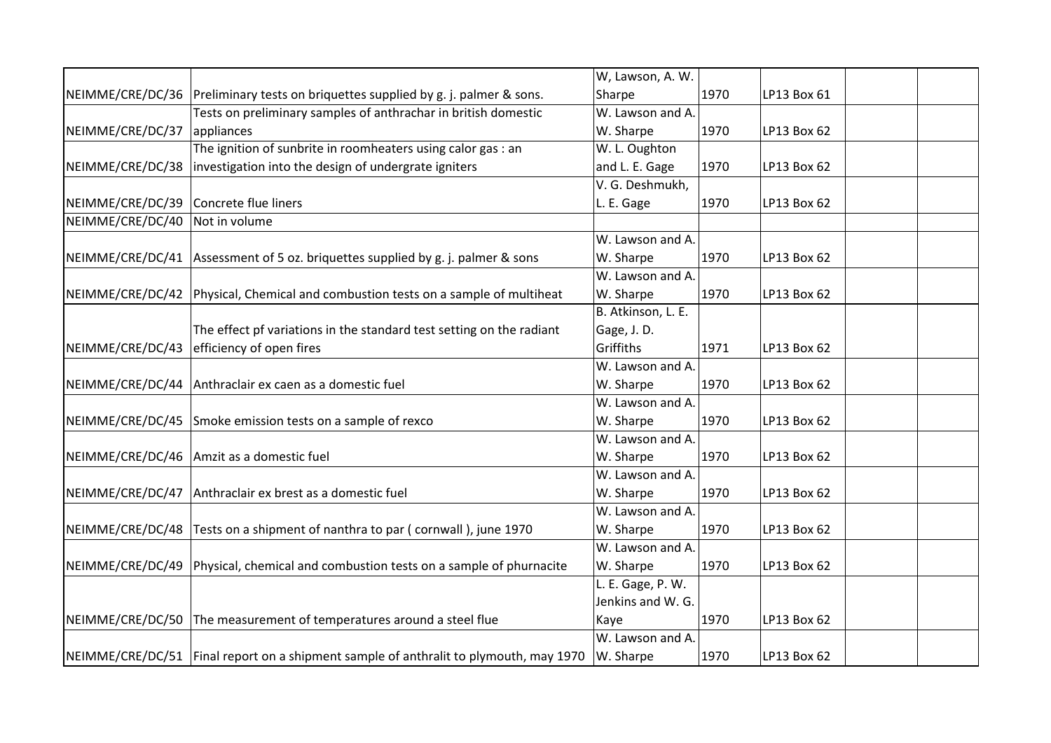|                  |                                                                                       | W, Lawson, A. W.   |      |             |  |
|------------------|---------------------------------------------------------------------------------------|--------------------|------|-------------|--|
|                  | NEIMME/CRE/DC/36 Preliminary tests on briquettes supplied by g. j. palmer & sons.     | Sharpe             | 1970 | LP13 Box 61 |  |
|                  | Tests on preliminary samples of anthrachar in british domestic                        | W. Lawson and A.   |      |             |  |
| NEIMME/CRE/DC/37 | appliances                                                                            | W. Sharpe          | 1970 | LP13 Box 62 |  |
|                  | The ignition of sunbrite in roomheaters using calor gas : an                          | W. L. Oughton      |      |             |  |
| NEIMME/CRE/DC/38 | investigation into the design of undergrate igniters                                  | and L. E. Gage     | 1970 | LP13 Box 62 |  |
|                  |                                                                                       | V. G. Deshmukh,    |      |             |  |
| NEIMME/CRE/DC/39 | Concrete flue liners                                                                  | L. E. Gage         | 1970 | LP13 Box 62 |  |
| NEIMME/CRE/DC/40 | Not in volume                                                                         |                    |      |             |  |
|                  |                                                                                       | W. Lawson and A.   |      |             |  |
|                  | NEIMME/CRE/DC/41 Assessment of 5 oz. briquettes supplied by g. j. palmer & sons       | W. Sharpe          | 1970 | LP13 Box 62 |  |
|                  |                                                                                       | W. Lawson and A.   |      |             |  |
|                  | NEIMME/CRE/DC/42 Physical, Chemical and combustion tests on a sample of multiheat     | W. Sharpe          | 1970 | LP13 Box 62 |  |
|                  |                                                                                       | B. Atkinson, L. E. |      |             |  |
|                  | The effect pf variations in the standard test setting on the radiant                  | Gage, J.D.         |      |             |  |
|                  | $NEIMME/CRE/DC/43$ efficiency of open fires                                           | Griffiths          | 1971 | LP13 Box 62 |  |
|                  |                                                                                       | W. Lawson and A.   |      |             |  |
|                  | NEIMME/CRE/DC/44 Anthraclair ex caen as a domestic fuel                               | W. Sharpe          | 1970 | LP13 Box 62 |  |
|                  |                                                                                       | W. Lawson and A.   |      |             |  |
|                  | NEIMME/CRE/DC/45 Smoke emission tests on a sample of rexco                            | W. Sharpe          | 1970 | LP13 Box 62 |  |
|                  |                                                                                       | W. Lawson and A.   |      |             |  |
|                  | NEIMME/CRE/DC/46   Amzit as a domestic fuel                                           | W. Sharpe          | 1970 | LP13 Box 62 |  |
|                  |                                                                                       | W. Lawson and A.   |      |             |  |
|                  | NEIMME/CRE/DC/47 Anthraclair ex brest as a domestic fuel                              | W. Sharpe          | 1970 | LP13 Box 62 |  |
|                  |                                                                                       | W. Lawson and A.   |      |             |  |
|                  | NEIMME/CRE/DC/48   Tests on a shipment of nanthra to par (cornwall), june 1970        | W. Sharpe          | 1970 | LP13 Box 62 |  |
|                  |                                                                                       | W. Lawson and A.   |      |             |  |
|                  | NEIMME/CRE/DC/49 Physical, chemical and combustion tests on a sample of phurnacite    | W. Sharpe          | 1970 | LP13 Box 62 |  |
|                  |                                                                                       | L. E. Gage, P. W.  |      |             |  |
|                  |                                                                                       | Jenkins and W. G.  |      |             |  |
|                  | NEIMME/CRE/DC/50 The measurement of temperatures around a steel flue                  | Kaye               | 1970 | LP13 Box 62 |  |
|                  |                                                                                       | W. Lawson and A.   |      |             |  |
|                  | NEIMME/CRE/DC/51 Final report on a shipment sample of anthralit to plymouth, may 1970 | W. Sharpe          | 1970 | LP13 Box 62 |  |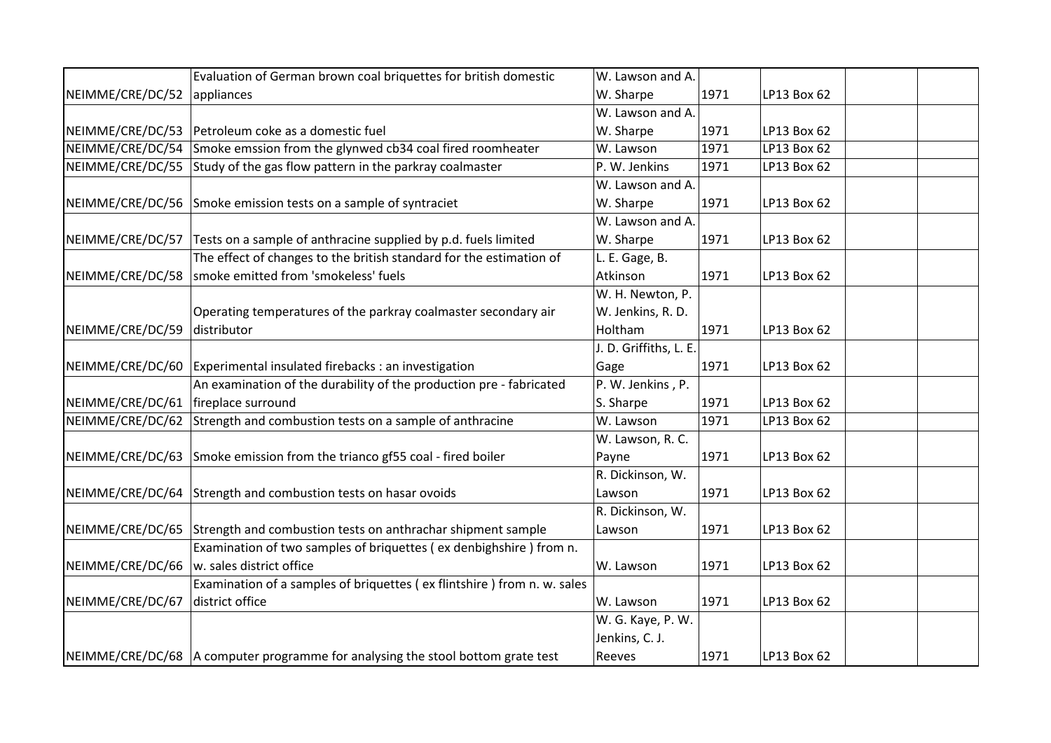|                  | Evaluation of German brown coal briquettes for british domestic                  | W. Lawson and A.       |      |             |  |
|------------------|----------------------------------------------------------------------------------|------------------------|------|-------------|--|
| NEIMME/CRE/DC/52 | appliances                                                                       | W. Sharpe              | 1971 | LP13 Box 62 |  |
|                  |                                                                                  | W. Lawson and A.       |      |             |  |
|                  | NEIMME/CRE/DC/53   Petroleum coke as a domestic fuel                             | W. Sharpe              | 1971 | LP13 Box 62 |  |
| NEIMME/CRE/DC/54 | Smoke emssion from the glynwed cb34 coal fired roomheater                        | W. Lawson              | 1971 | LP13 Box 62 |  |
| NEIMME/CRE/DC/55 | Study of the gas flow pattern in the parkray coalmaster                          | P. W. Jenkins          | 1971 | LP13 Box 62 |  |
|                  |                                                                                  | W. Lawson and A.       |      |             |  |
| NEIMME/CRE/DC/56 | Smoke emission tests on a sample of syntraciet                                   | W. Sharpe              | 1971 | LP13 Box 62 |  |
|                  |                                                                                  | W. Lawson and A.       |      |             |  |
|                  | NEIMME/CRE/DC/57 Tests on a sample of anthracine supplied by p.d. fuels limited  | W. Sharpe              | 1971 | LP13 Box 62 |  |
|                  | The effect of changes to the british standard for the estimation of              | L. E. Gage, B.         |      |             |  |
| NEIMME/CRE/DC/58 | smoke emitted from 'smokeless' fuels                                             | Atkinson               | 1971 | LP13 Box 62 |  |
|                  |                                                                                  | W. H. Newton, P.       |      |             |  |
|                  | Operating temperatures of the parkray coalmaster secondary air                   | W. Jenkins, R. D.      |      |             |  |
| NEIMME/CRE/DC/59 | distributor                                                                      | Holtham                | 1971 | LP13 Box 62 |  |
|                  |                                                                                  | J. D. Griffiths, L. E. |      |             |  |
| NEIMME/CRE/DC/60 | Experimental insulated firebacks : an investigation                              | Gage                   | 1971 | LP13 Box 62 |  |
|                  | An examination of the durability of the production pre - fabricated              | P. W. Jenkins, P.      |      |             |  |
| NEIMME/CRE/DC/61 | fireplace surround                                                               | S. Sharpe              | 1971 | LP13 Box 62 |  |
| NEIMME/CRE/DC/62 | Strength and combustion tests on a sample of anthracine                          | W. Lawson              | 1971 | LP13 Box 62 |  |
|                  |                                                                                  | W. Lawson, R. C.       |      |             |  |
|                  | NEIMME/CRE/DC/63 Smoke emission from the trianco gf55 coal - fired boiler        | Payne                  | 1971 | LP13 Box 62 |  |
|                  |                                                                                  | R. Dickinson, W.       |      |             |  |
|                  | NEIMME/CRE/DC/64 Strength and combustion tests on hasar ovoids                   | Lawson                 | 1971 | LP13 Box 62 |  |
|                  |                                                                                  | R. Dickinson, W.       |      |             |  |
|                  | NEIMME/CRE/DC/65 Strength and combustion tests on anthrachar shipment sample     | Lawson                 | 1971 | LP13 Box 62 |  |
|                  | Examination of two samples of briquettes (ex denbighshire) from n.               |                        |      |             |  |
| NEIMME/CRE/DC/66 | w. sales district office                                                         | W. Lawson              | 1971 | LP13 Box 62 |  |
|                  | Examination of a samples of briquettes (ex flintshire) from n. w. sales          |                        |      |             |  |
| NEIMME/CRE/DC/67 | district office                                                                  | W. Lawson              | 1971 | LP13 Box 62 |  |
|                  |                                                                                  | W. G. Kaye, P. W.      |      |             |  |
|                  |                                                                                  | Jenkins, C. J.         |      |             |  |
|                  | NEIMME/CRE/DC/68  A computer programme for analysing the stool bottom grate test | Reeves                 | 1971 | LP13 Box 62 |  |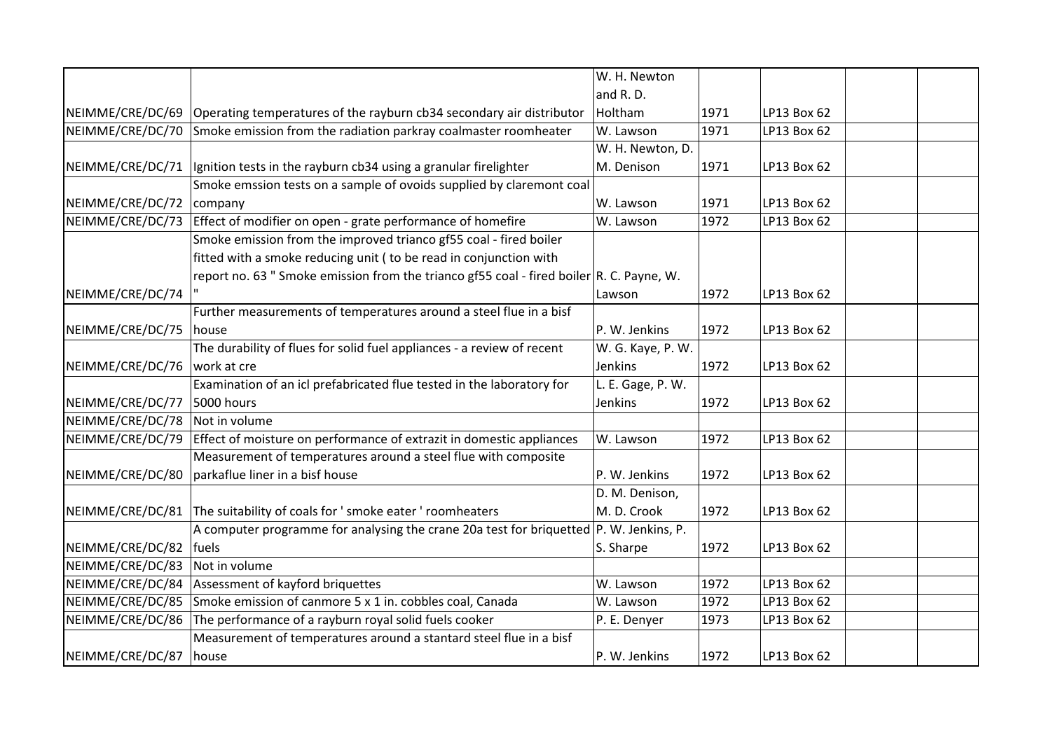|                  |                                                                                          | W. H. Newton      |      |             |  |
|------------------|------------------------------------------------------------------------------------------|-------------------|------|-------------|--|
|                  |                                                                                          | and R.D.          |      |             |  |
| NEIMME/CRE/DC/69 | Operating temperatures of the rayburn cb34 secondary air distributor                     | Holtham           | 1971 | LP13 Box 62 |  |
| NEIMME/CRE/DC/70 | Smoke emission from the radiation parkray coalmaster roomheater                          | W. Lawson         | 1971 | LP13 Box 62 |  |
|                  |                                                                                          | W. H. Newton, D.  |      |             |  |
| NEIMME/CRE/DC/71 | Ignition tests in the rayburn cb34 using a granular firelighter                          | M. Denison        | 1971 | LP13 Box 62 |  |
|                  | Smoke emssion tests on a sample of ovoids supplied by claremont coal                     |                   |      |             |  |
| NEIMME/CRE/DC/72 | company                                                                                  | W. Lawson         | 1971 | LP13 Box 62 |  |
| NEIMME/CRE/DC/73 | Effect of modifier on open - grate performance of homefire                               | W. Lawson         | 1972 | LP13 Box 62 |  |
|                  | Smoke emission from the improved trianco gf55 coal - fired boiler                        |                   |      |             |  |
|                  | fitted with a smoke reducing unit (to be read in conjunction with                        |                   |      |             |  |
|                  | report no. 63 " Smoke emission from the trianco gf55 coal - fired boiler R. C. Payne, W. |                   |      |             |  |
| NEIMME/CRE/DC/74 |                                                                                          | Lawson            | 1972 | LP13 Box 62 |  |
|                  | Further measurements of temperatures around a steel flue in a bisf                       |                   |      |             |  |
| NEIMME/CRE/DC/75 | house                                                                                    | P. W. Jenkins     | 1972 | LP13 Box 62 |  |
|                  | The durability of flues for solid fuel appliances - a review of recent                   | W. G. Kaye, P. W. |      |             |  |
| NEIMME/CRE/DC/76 | work at cre                                                                              | Jenkins           | 1972 | LP13 Box 62 |  |
|                  | Examination of an icl prefabricated flue tested in the laboratory for                    | L. E. Gage, P. W. |      |             |  |
| NEIMME/CRE/DC/77 | 5000 hours                                                                               | Jenkins           | 1972 | LP13 Box 62 |  |
| NEIMME/CRE/DC/78 | Not in volume                                                                            |                   |      |             |  |
| NEIMME/CRE/DC/79 | Effect of moisture on performance of extrazit in domestic appliances                     | W. Lawson         | 1972 | LP13 Box 62 |  |
|                  | Measurement of temperatures around a steel flue with composite                           |                   |      |             |  |
| NEIMME/CRE/DC/80 | parkaflue liner in a bisf house                                                          | P. W. Jenkins     | 1972 | LP13 Box 62 |  |
|                  |                                                                                          | D. M. Denison,    |      |             |  |
| NEIMME/CRE/DC/81 | The suitability of coals for ' smoke eater ' roomheaters                                 | M. D. Crook       | 1972 | LP13 Box 62 |  |
|                  | A computer programme for analysing the crane 20a test for briquetted   P. W. Jenkins, P. |                   |      |             |  |
| NEIMME/CRE/DC/82 | fuels                                                                                    | S. Sharpe         | 1972 | LP13 Box 62 |  |
| NEIMME/CRE/DC/83 | Not in volume                                                                            |                   |      |             |  |
| NEIMME/CRE/DC/84 | Assessment of kayford briquettes                                                         | W. Lawson         | 1972 | LP13 Box 62 |  |
| NEIMME/CRE/DC/85 | Smoke emission of canmore 5 x 1 in. cobbles coal, Canada                                 | W. Lawson         | 1972 | LP13 Box 62 |  |
| NEIMME/CRE/DC/86 | The performance of a rayburn royal solid fuels cooker                                    | P. E. Denyer      | 1973 | LP13 Box 62 |  |
|                  | Measurement of temperatures around a stantard steel flue in a bisf                       |                   |      |             |  |
| NEIMME/CRE/DC/87 | house                                                                                    | P. W. Jenkins     | 1972 | LP13 Box 62 |  |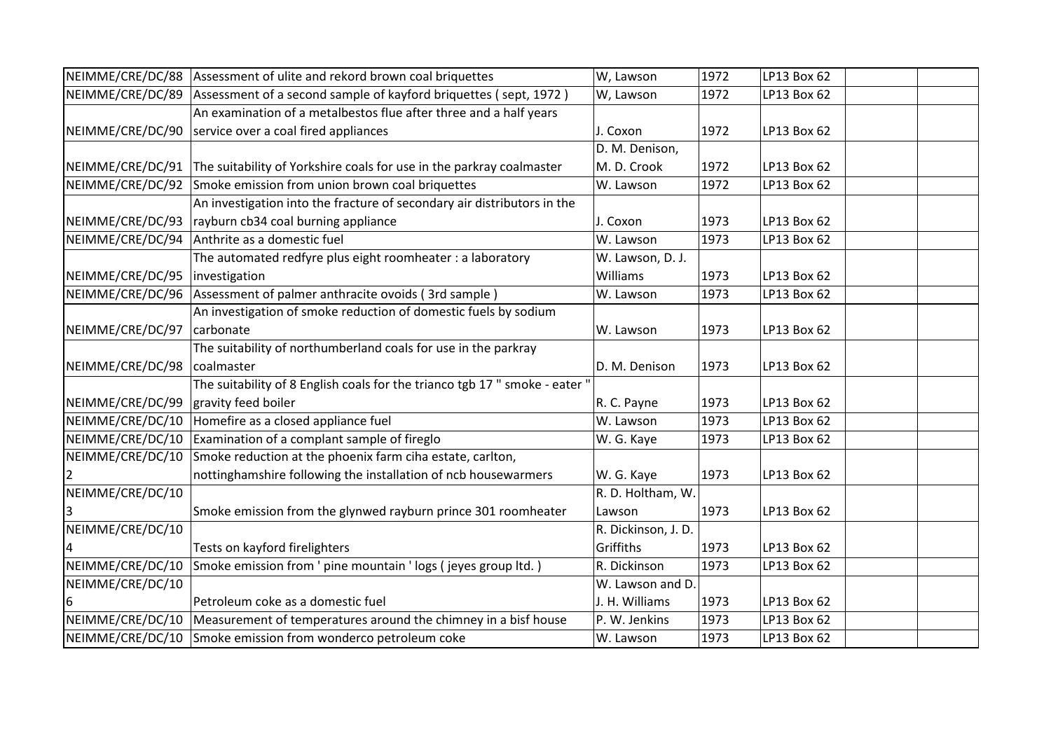|                  | NEIMME/CRE/DC/88 Assessment of ulite and rekord brown coal briquettes       | W, Lawson           | 1972 | LP13 Box 62 |  |
|------------------|-----------------------------------------------------------------------------|---------------------|------|-------------|--|
| NEIMME/CRE/DC/89 | Assessment of a second sample of kayford briquettes (sept, 1972)            | W, Lawson           | 1972 | LP13 Box 62 |  |
|                  | An examination of a metalbestos flue after three and a half years           |                     |      |             |  |
| NEIMME/CRE/DC/90 | service over a coal fired appliances                                        | J. Coxon            | 1972 | LP13 Box 62 |  |
|                  |                                                                             | D. M. Denison,      |      |             |  |
| NEIMME/CRE/DC/91 | The suitability of Yorkshire coals for use in the parkray coalmaster        | M. D. Crook         | 1972 | LP13 Box 62 |  |
| NEIMME/CRE/DC/92 | Smoke emission from union brown coal briquettes                             | W. Lawson           | 1972 | LP13 Box 62 |  |
|                  | An investigation into the fracture of secondary air distributors in the     |                     |      |             |  |
| NEIMME/CRE/DC/93 | rayburn cb34 coal burning appliance                                         | J. Coxon            | 1973 | LP13 Box 62 |  |
| NEIMME/CRE/DC/94 | Anthrite as a domestic fuel                                                 | W. Lawson           | 1973 | LP13 Box 62 |  |
|                  | The automated redfyre plus eight roomheater : a laboratory                  | W. Lawson, D. J.    |      |             |  |
| NEIMME/CRE/DC/95 | investigation                                                               | Williams            | 1973 | LP13 Box 62 |  |
| NEIMME/CRE/DC/96 | Assessment of palmer anthracite ovoids (3rd sample)                         | W. Lawson           | 1973 | LP13 Box 62 |  |
|                  | An investigation of smoke reduction of domestic fuels by sodium             |                     |      |             |  |
| NEIMME/CRE/DC/97 | carbonate                                                                   | W. Lawson           | 1973 | LP13 Box 62 |  |
|                  | The suitability of northumberland coals for use in the parkray              |                     |      |             |  |
| NEIMME/CRE/DC/98 | coalmaster                                                                  | D. M. Denison       | 1973 | LP13 Box 62 |  |
|                  | The suitability of 8 English coals for the trianco tgb 17 " smoke - eater " |                     |      |             |  |
| NEIMME/CRE/DC/99 | gravity feed boiler                                                         | R. C. Payne         | 1973 | LP13 Box 62 |  |
| NEIMME/CRE/DC/10 | Homefire as a closed appliance fuel                                         | W. Lawson           | 1973 | LP13 Box 62 |  |
| NEIMME/CRE/DC/10 | Examination of a complant sample of fireglo                                 | W. G. Kaye          | 1973 | LP13 Box 62 |  |
| NEIMME/CRE/DC/10 | Smoke reduction at the phoenix farm ciha estate, carlton,                   |                     |      |             |  |
| 2                | nottinghamshire following the installation of ncb housewarmers              | W. G. Kaye          | 1973 | LP13 Box 62 |  |
| NEIMME/CRE/DC/10 |                                                                             | R. D. Holtham, W.   |      |             |  |
|                  | Smoke emission from the glynwed rayburn prince 301 roomheater               | Lawson              | 1973 | LP13 Box 62 |  |
| NEIMME/CRE/DC/10 |                                                                             | R. Dickinson, J. D. |      |             |  |
| 4                | Tests on kayford firelighters                                               | Griffiths           | 1973 | LP13 Box 62 |  |
| NEIMME/CRE/DC/10 | Smoke emission from ' pine mountain ' logs ( jeyes group ltd. )             | R. Dickinson        | 1973 | LP13 Box 62 |  |
| NEIMME/CRE/DC/10 |                                                                             | W. Lawson and D.    |      |             |  |
| 6                | Petroleum coke as a domestic fuel                                           | J. H. Williams      | 1973 | LP13 Box 62 |  |
| NEIMME/CRE/DC/10 | Measurement of temperatures around the chimney in a bisf house              | P. W. Jenkins       | 1973 | LP13 Box 62 |  |
|                  | NEIMME/CRE/DC/10 Smoke emission from wonderco petroleum coke                | W. Lawson           | 1973 | LP13 Box 62 |  |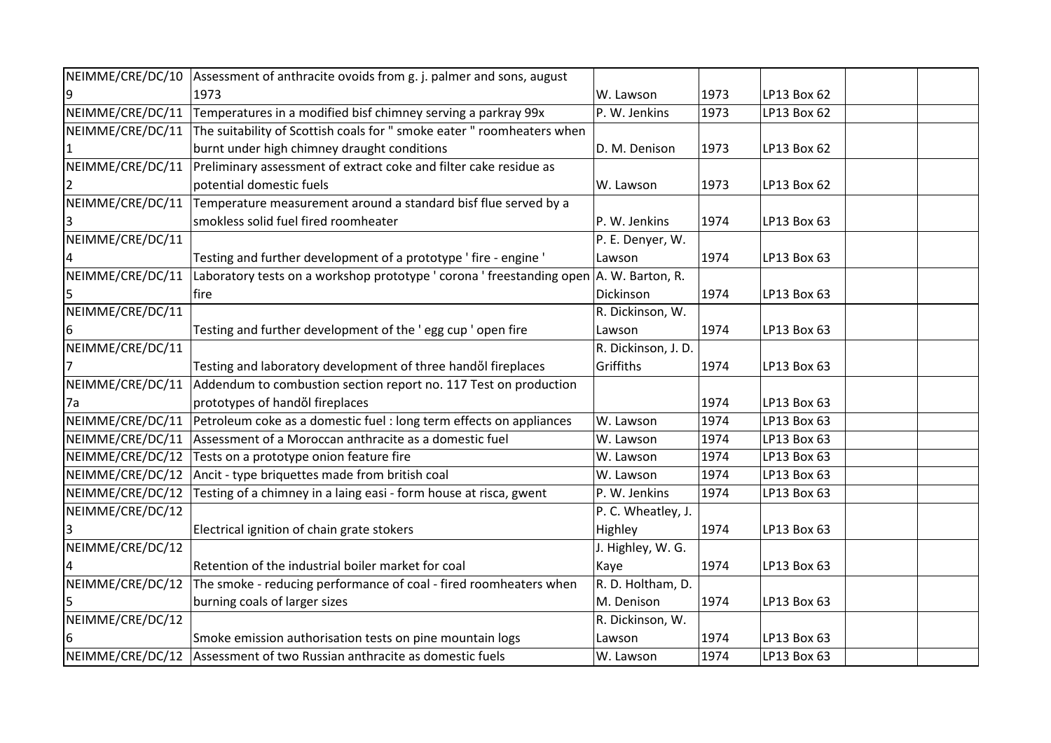| NEIMME/CRE/DC/10 | Assessment of anthracite ovoids from g. j. palmer and sons, august      |                     |      |             |  |
|------------------|-------------------------------------------------------------------------|---------------------|------|-------------|--|
|                  | 1973                                                                    | W. Lawson           | 1973 | LP13 Box 62 |  |
| NEIMME/CRE/DC/11 | Temperatures in a modified bisf chimney serving a parkray 99x           | P. W. Jenkins       | 1973 | LP13 Box 62 |  |
| NEIMME/CRE/DC/11 | The suitability of Scottish coals for " smoke eater " roomheaters when  |                     |      |             |  |
|                  | burnt under high chimney draught conditions                             | D. M. Denison       | 1973 | LP13 Box 62 |  |
| NEIMME/CRE/DC/11 | Preliminary assessment of extract coke and filter cake residue as       |                     |      |             |  |
|                  | potential domestic fuels                                                | W. Lawson           | 1973 | LP13 Box 62 |  |
| NEIMME/CRE/DC/11 | Temperature measurement around a standard bisf flue served by a         |                     |      |             |  |
|                  | smokless solid fuel fired roomheater                                    | P. W. Jenkins       | 1974 | LP13 Box 63 |  |
| NEIMME/CRE/DC/11 |                                                                         | P. E. Denyer, W.    |      |             |  |
|                  | Testing and further development of a prototype 'fire - engine '         | Lawson              | 1974 | LP13 Box 63 |  |
| NEIMME/CRE/DC/11 | Laboratory tests on a workshop prototype ' corona ' freestanding open   | A. W. Barton, R.    |      |             |  |
|                  | fire                                                                    | Dickinson           | 1974 | LP13 Box 63 |  |
| NEIMME/CRE/DC/11 |                                                                         | R. Dickinson, W.    |      |             |  |
| 6                | Testing and further development of the 'egg cup ' open fire             | Lawson              | 1974 | LP13 Box 63 |  |
| NEIMME/CRE/DC/11 |                                                                         | R. Dickinson, J. D. |      |             |  |
|                  | Testing and laboratory development of three handől fireplaces           | Griffiths           | 1974 | LP13 Box 63 |  |
| NEIMME/CRE/DC/11 | Addendum to combustion section report no. 117 Test on production        |                     |      |             |  |
| 7a               | prototypes of handől fireplaces                                         |                     | 1974 | LP13 Box 63 |  |
| NEIMME/CRE/DC/11 | Petroleum coke as a domestic fuel : long term effects on appliances     | W. Lawson           | 1974 | LP13 Box 63 |  |
| NEIMME/CRE/DC/11 | Assessment of a Moroccan anthracite as a domestic fuel                  | W. Lawson           | 1974 | LP13 Box 63 |  |
| NEIMME/CRE/DC/12 | Tests on a prototype onion feature fire                                 | W. Lawson           | 1974 | LP13 Box 63 |  |
| NEIMME/CRE/DC/12 | Ancit - type briquettes made from british coal                          | W. Lawson           | 1974 | LP13 Box 63 |  |
| NEIMME/CRE/DC/12 | Testing of a chimney in a laing easi - form house at risca, gwent       | P. W. Jenkins       | 1974 | LP13 Box 63 |  |
| NEIMME/CRE/DC/12 |                                                                         | P. C. Wheatley, J.  |      |             |  |
|                  | Electrical ignition of chain grate stokers                              | Highley             | 1974 | LP13 Box 63 |  |
| NEIMME/CRE/DC/12 |                                                                         | J. Highley, W. G.   |      |             |  |
|                  | Retention of the industrial boiler market for coal                      | Kaye                | 1974 | LP13 Box 63 |  |
| NEIMME/CRE/DC/12 | The smoke - reducing performance of coal - fired roomheaters when       | R. D. Holtham, D.   |      |             |  |
|                  | burning coals of larger sizes                                           | M. Denison          | 1974 | LP13 Box 63 |  |
| NEIMME/CRE/DC/12 |                                                                         | R. Dickinson, W.    |      |             |  |
| 6                | Smoke emission authorisation tests on pine mountain logs                | Lawson              | 1974 | LP13 Box 63 |  |
|                  | NEIMME/CRE/DC/12 Assessment of two Russian anthracite as domestic fuels | W. Lawson           | 1974 | LP13 Box 63 |  |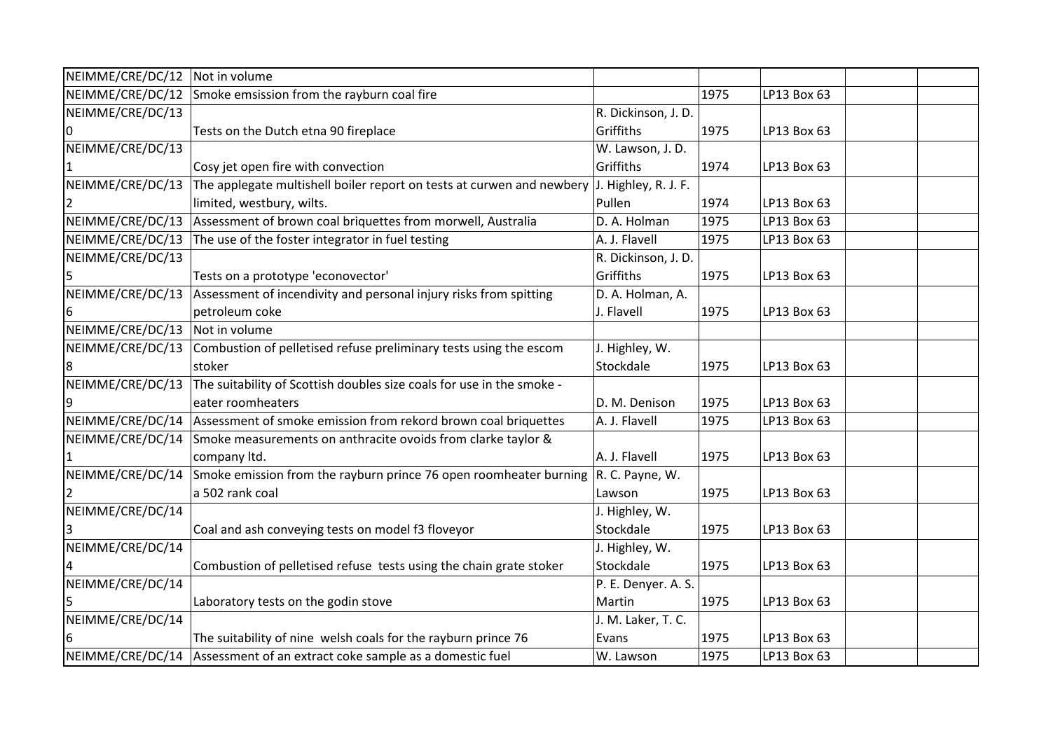| NEIMME/CRE/DC/12 Not in volume |                                                                                    |                      |      |             |  |
|--------------------------------|------------------------------------------------------------------------------------|----------------------|------|-------------|--|
| NEIMME/CRE/DC/12               | Smoke emsission from the rayburn coal fire                                         |                      | 1975 | LP13 Box 63 |  |
| NEIMME/CRE/DC/13               |                                                                                    | R. Dickinson, J. D.  |      |             |  |
|                                | Tests on the Dutch etna 90 fireplace                                               | Griffiths            | 1975 | LP13 Box 63 |  |
| NEIMME/CRE/DC/13               |                                                                                    | W. Lawson, J. D.     |      |             |  |
| 1                              | Cosy jet open fire with convection                                                 | Griffiths            | 1974 | LP13 Box 63 |  |
| NEIMME/CRE/DC/13               | The applegate multishell boiler report on tests at curwen and newbery              | J. Highley, R. J. F. |      |             |  |
|                                | limited, westbury, wilts.                                                          | Pullen               | 1974 | LP13 Box 63 |  |
| NEIMME/CRE/DC/13               | Assessment of brown coal briquettes from morwell, Australia                        | D. A. Holman         | 1975 | LP13 Box 63 |  |
| NEIMME/CRE/DC/13               | The use of the foster integrator in fuel testing                                   | A. J. Flavell        | 1975 | LP13 Box 63 |  |
| NEIMME/CRE/DC/13               |                                                                                    | R. Dickinson, J. D.  |      |             |  |
| 5                              | Tests on a prototype 'econovector'                                                 | Griffiths            | 1975 | LP13 Box 63 |  |
| NEIMME/CRE/DC/13               | Assessment of incendivity and personal injury risks from spitting                  | D. A. Holman, A.     |      |             |  |
| 6                              | petroleum coke                                                                     | J. Flavell           | 1975 | LP13 Box 63 |  |
| NEIMME/CRE/DC/13               | Not in volume                                                                      |                      |      |             |  |
| NEIMME/CRE/DC/13               | Combustion of pelletised refuse preliminary tests using the escom                  | J. Highley, W.       |      |             |  |
| 8                              | stoker                                                                             | Stockdale            | 1975 | LP13 Box 63 |  |
| NEIMME/CRE/DC/13               | The suitability of Scottish doubles size coals for use in the smoke -              |                      |      |             |  |
| 9                              | eater roomheaters                                                                  | D. M. Denison        | 1975 | LP13 Box 63 |  |
|                                | NEIMME/CRE/DC/14 Assessment of smoke emission from rekord brown coal briquettes    | A. J. Flavell        | 1975 | LP13 Box 63 |  |
|                                | NEIMME/CRE/DC/14 Smoke measurements on anthracite ovoids from clarke taylor &      |                      |      |             |  |
|                                | company ltd.                                                                       | A. J. Flavell        | 1975 | LP13 Box 63 |  |
|                                | NEIMME/CRE/DC/14 Smoke emission from the rayburn prince 76 open roomheater burning | R. C. Payne, W.      |      |             |  |
|                                | a 502 rank coal                                                                    | Lawson               | 1975 | LP13 Box 63 |  |
| NEIMME/CRE/DC/14               |                                                                                    | J. Highley, W.       |      |             |  |
| 3                              | Coal and ash conveying tests on model f3 floveyor                                  | Stockdale            | 1975 | LP13 Box 63 |  |
| NEIMME/CRE/DC/14               |                                                                                    | J. Highley, W.       |      |             |  |
|                                | Combustion of pelletised refuse tests using the chain grate stoker                 | Stockdale            | 1975 | LP13 Box 63 |  |
| NEIMME/CRE/DC/14               |                                                                                    | P. E. Denyer. A. S.  |      |             |  |
| 5                              | Laboratory tests on the godin stove                                                | Martin               | 1975 | LP13 Box 63 |  |
| NEIMME/CRE/DC/14               |                                                                                    | J. M. Laker, T. C.   |      |             |  |
| 6                              | The suitability of nine welsh coals for the rayburn prince 76                      | Evans                | 1975 | LP13 Box 63 |  |
|                                | NEIMME/CRE/DC/14 Assessment of an extract coke sample as a domestic fuel           | W. Lawson            | 1975 | LP13 Box 63 |  |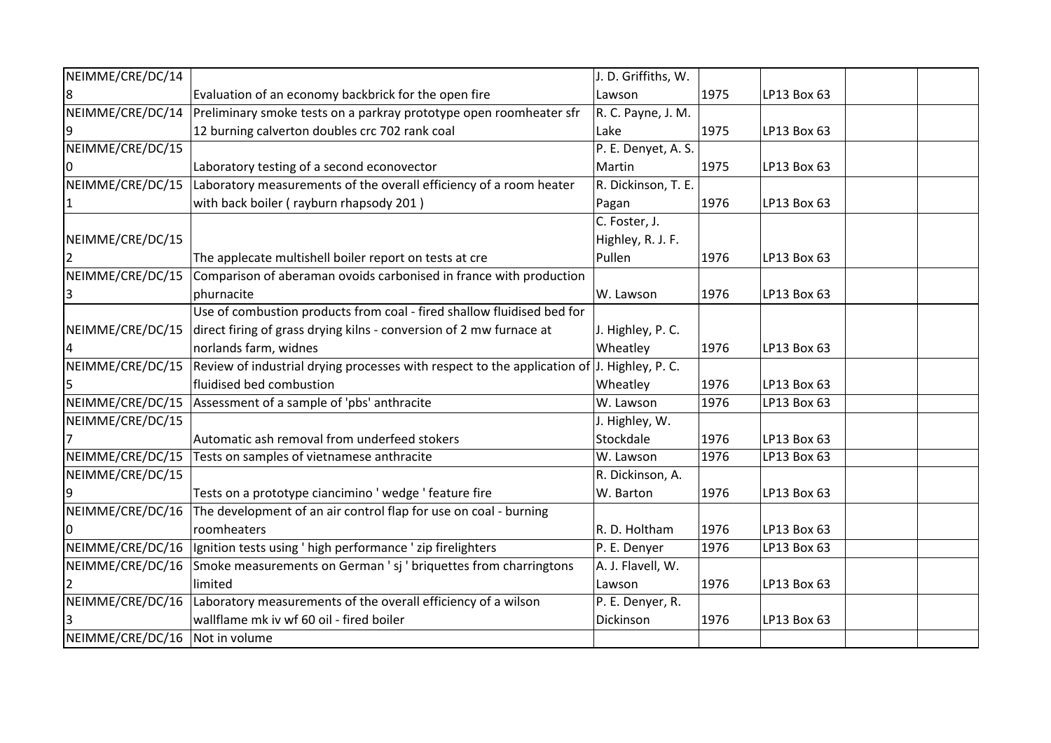| NEIMME/CRE/DC/14               |                                                                                            | J. D. Griffiths, W. |      |             |  |
|--------------------------------|--------------------------------------------------------------------------------------------|---------------------|------|-------------|--|
| 8                              | Evaluation of an economy backbrick for the open fire                                       | Lawson              | 1975 | LP13 Box 63 |  |
| NEIMME/CRE/DC/14               | Preliminary smoke tests on a parkray prototype open roomheater sfr                         | R. C. Payne, J. M.  |      |             |  |
| 9                              | 12 burning calverton doubles crc 702 rank coal                                             | Lake                | 1975 | LP13 Box 63 |  |
| NEIMME/CRE/DC/15               |                                                                                            | P. E. Denyet, A. S. |      |             |  |
|                                | Laboratory testing of a second econovector                                                 | Martin              | 1975 | LP13 Box 63 |  |
| NEIMME/CRE/DC/15               | Laboratory measurements of the overall efficiency of a room heater                         | R. Dickinson, T. E. |      |             |  |
|                                | with back boiler (rayburn rhapsody 201)                                                    | Pagan               | 1976 | LP13 Box 63 |  |
|                                |                                                                                            | C. Foster, J.       |      |             |  |
| NEIMME/CRE/DC/15               |                                                                                            | Highley, R. J. F.   |      |             |  |
| 2                              | The applecate multishell boiler report on tests at cre                                     | Pullen              | 1976 | LP13 Box 63 |  |
| NEIMME/CRE/DC/15               | Comparison of aberaman ovoids carbonised in france with production                         |                     |      |             |  |
| 3                              | phurnacite                                                                                 | W. Lawson           | 1976 | LP13 Box 63 |  |
|                                | Use of combustion products from coal - fired shallow fluidised bed for                     |                     |      |             |  |
| NEIMME/CRE/DC/15               | direct firing of grass drying kilns - conversion of 2 mw furnace at                        | J. Highley, P. C.   |      |             |  |
| 4                              | norlands farm, widnes                                                                      | Wheatley            | 1976 | LP13 Box 63 |  |
| NEIMME/CRE/DC/15               | Review of industrial drying processes with respect to the application of J. Highley, P. C. |                     |      |             |  |
|                                | fluidised bed combustion                                                                   | Wheatley            | 1976 | LP13 Box 63 |  |
| NEIMME/CRE/DC/15               | Assessment of a sample of 'pbs' anthracite                                                 | W. Lawson           | 1976 | LP13 Box 63 |  |
| NEIMME/CRE/DC/15               |                                                                                            | J. Highley, W.      |      |             |  |
|                                | Automatic ash removal from underfeed stokers                                               | Stockdale           | 1976 | LP13 Box 63 |  |
| NEIMME/CRE/DC/15               | Tests on samples of vietnamese anthracite                                                  | W. Lawson           | 1976 | LP13 Box 63 |  |
| NEIMME/CRE/DC/15               |                                                                                            | R. Dickinson, A.    |      |             |  |
|                                | Tests on a prototype ciancimino 'wedge ' feature fire                                      | W. Barton           | 1976 | LP13 Box 63 |  |
| NEIMME/CRE/DC/16               | The development of an air control flap for use on coal - burning                           |                     |      |             |  |
|                                | roomheaters                                                                                | R. D. Holtham       | 1976 | LP13 Box 63 |  |
| NEIMME/CRE/DC/16               | Ignition tests using ' high performance ' zip firelighters                                 | P. E. Denyer        | 1976 | LP13 Box 63 |  |
| NEIMME/CRE/DC/16               | Smoke measurements on German 'sj ' briquettes from charringtons                            | A. J. Flavell, W.   |      |             |  |
|                                | limited                                                                                    | Lawson              | 1976 | LP13 Box 63 |  |
| NEIMME/CRE/DC/16               | Laboratory measurements of the overall efficiency of a wilson                              | P. E. Denyer, R.    |      |             |  |
|                                | wallflame mk iv wf 60 oil - fired boiler                                                   | Dickinson           | 1976 | LP13 Box 63 |  |
| NEIMME/CRE/DC/16 Not in volume |                                                                                            |                     |      |             |  |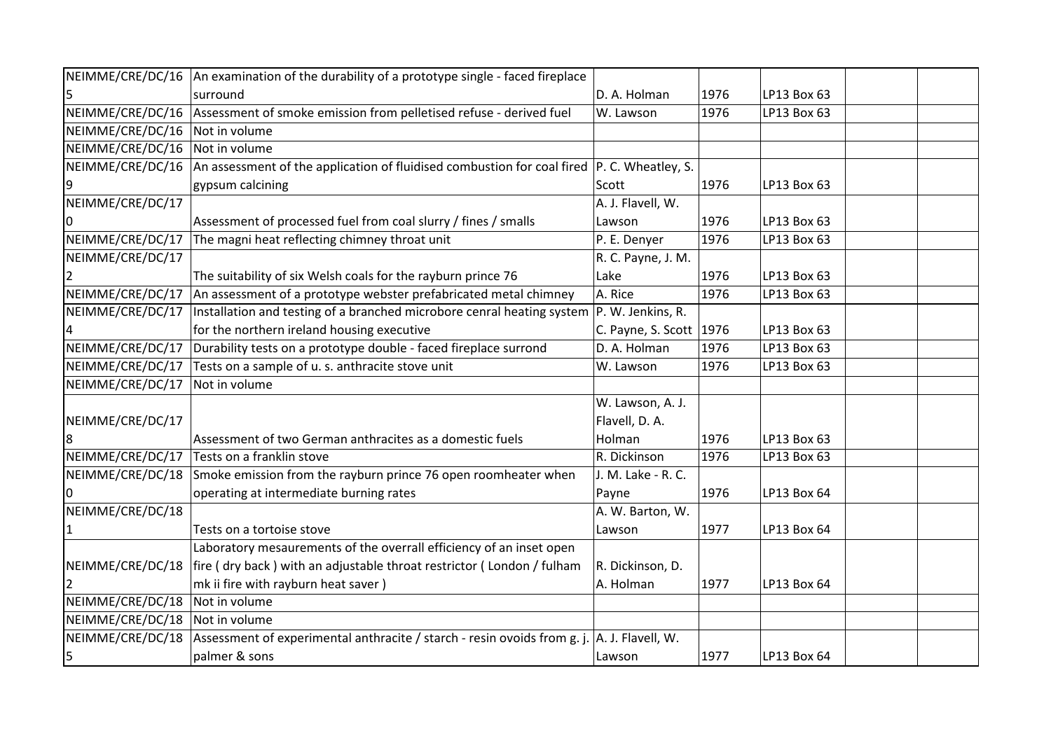| NEIMME/CRE/DC/16 | An examination of the durability of a prototype single - faced fireplace                     |                            |      |             |  |
|------------------|----------------------------------------------------------------------------------------------|----------------------------|------|-------------|--|
|                  | surround                                                                                     | D. A. Holman               | 1976 | LP13 Box 63 |  |
| NEIMME/CRE/DC/16 | Assessment of smoke emission from pelletised refuse - derived fuel                           | W. Lawson                  | 1976 | LP13 Box 63 |  |
| NEIMME/CRE/DC/16 | Not in volume                                                                                |                            |      |             |  |
| NEIMME/CRE/DC/16 | Not in volume                                                                                |                            |      |             |  |
| NEIMME/CRE/DC/16 | An assessment of the application of fluidised combustion for coal fired $ P.C.$ Wheatley, S. |                            |      |             |  |
| 9                | gypsum calcining                                                                             | Scott                      | 1976 | LP13 Box 63 |  |
| NEIMME/CRE/DC/17 |                                                                                              | A. J. Flavell, W.          |      |             |  |
|                  | Assessment of processed fuel from coal slurry / fines / smalls                               | Lawson                     | 1976 | LP13 Box 63 |  |
| NEIMME/CRE/DC/17 | The magni heat reflecting chimney throat unit                                                | P. E. Denyer               | 1976 | LP13 Box 63 |  |
| NEIMME/CRE/DC/17 |                                                                                              | R. C. Payne, J. M.         |      |             |  |
|                  | The suitability of six Welsh coals for the rayburn prince 76                                 | Lake                       | 1976 | LP13 Box 63 |  |
| NEIMME/CRE/DC/17 | An assessment of a prototype webster prefabricated metal chimney                             | A. Rice                    | 1976 | LP13 Box 63 |  |
| NEIMME/CRE/DC/17 | Installation and testing of a branched microbore cenral heating system                       | P. W. Jenkins, R.          |      |             |  |
|                  | for the northern ireland housing executive                                                   | C. Payne, S. Scott $ 1976$ |      | LP13 Box 63 |  |
| NEIMME/CRE/DC/17 | Durability tests on a prototype double - faced fireplace surrond                             | D. A. Holman               | 1976 | LP13 Box 63 |  |
| NEIMME/CRE/DC/17 | Tests on a sample of u. s. anthracite stove unit                                             | W. Lawson                  | 1976 | LP13 Box 63 |  |
| NEIMME/CRE/DC/17 | Not in volume                                                                                |                            |      |             |  |
|                  |                                                                                              | W. Lawson, A. J.           |      |             |  |
| NEIMME/CRE/DC/17 |                                                                                              | Flavell, D. A.             |      |             |  |
| 8                | Assessment of two German anthracites as a domestic fuels                                     | Holman                     | 1976 | LP13 Box 63 |  |
| NEIMME/CRE/DC/17 | Tests on a franklin stove                                                                    | R. Dickinson               | 1976 | LP13 Box 63 |  |
| NEIMME/CRE/DC/18 | Smoke emission from the rayburn prince 76 open roomheater when                               | J. M. Lake - R. C.         |      |             |  |
|                  | operating at intermediate burning rates                                                      | Payne                      | 1976 | LP13 Box 64 |  |
| NEIMME/CRE/DC/18 |                                                                                              | A. W. Barton, W.           |      |             |  |
| $\mathbf 1$      | Tests on a tortoise stove                                                                    | Lawson                     | 1977 | LP13 Box 64 |  |
|                  | Laboratory mesaurements of the overrall efficiency of an inset open                          |                            |      |             |  |
| NEIMME/CRE/DC/18 | fire (dry back) with an adjustable throat restrictor (London / fulham                        | R. Dickinson, D.           |      |             |  |
|                  | mk ii fire with rayburn heat saver)                                                          | A. Holman                  | 1977 | LP13 Box 64 |  |
| NEIMME/CRE/DC/18 | Not in volume                                                                                |                            |      |             |  |
| NEIMME/CRE/DC/18 | Not in volume                                                                                |                            |      |             |  |
| NEIMME/CRE/DC/18 | Assessment of experimental anthracite / starch - resin ovoids from g. j.                     | A. J. Flavell, W.          |      |             |  |
| 5                | palmer & sons                                                                                | Lawson                     | 1977 | LP13 Box 64 |  |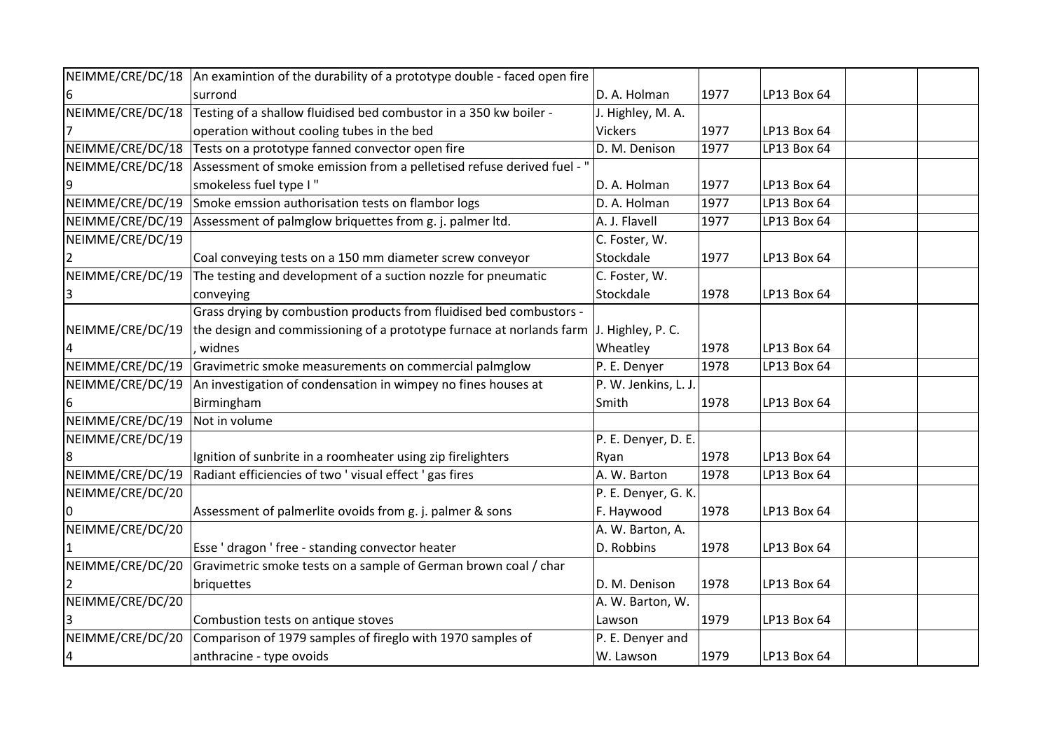| NEIMME/CRE/DC/18 | An examintion of the durability of a prototype double - faced open fire |                      |      |             |  |
|------------------|-------------------------------------------------------------------------|----------------------|------|-------------|--|
| 6                | surrond                                                                 | D. A. Holman         | 1977 | LP13 Box 64 |  |
| NEIMME/CRE/DC/18 | Testing of a shallow fluidised bed combustor in a 350 kw boiler -       | J. Highley, M. A.    |      |             |  |
|                  | operation without cooling tubes in the bed                              | <b>Vickers</b>       | 1977 | LP13 Box 64 |  |
| NEIMME/CRE/DC/18 | Tests on a prototype fanned convector open fire                         | D. M. Denison        | 1977 | LP13 Box 64 |  |
| NEIMME/CRE/DC/18 | Assessment of smoke emission from a pelletised refuse derived fuel - "  |                      |      |             |  |
| 9                | smokeless fuel type I"                                                  | D. A. Holman         | 1977 | LP13 Box 64 |  |
| NEIMME/CRE/DC/19 | Smoke emssion authorisation tests on flambor logs                       | D. A. Holman         | 1977 | LP13 Box 64 |  |
| NEIMME/CRE/DC/19 | Assessment of palmglow briquettes from g. j. palmer ltd.                | A. J. Flavell        | 1977 | LP13 Box 64 |  |
| NEIMME/CRE/DC/19 |                                                                         | C. Foster, W.        |      |             |  |
|                  | Coal conveying tests on a 150 mm diameter screw conveyor                | Stockdale            | 1977 | LP13 Box 64 |  |
| NEIMME/CRE/DC/19 | The testing and development of a suction nozzle for pneumatic           | C. Foster, W.        |      |             |  |
| 3                | conveying                                                               | Stockdale            | 1978 | LP13 Box 64 |  |
|                  | Grass drying by combustion products from fluidised bed combustors -     |                      |      |             |  |
| NEIMME/CRE/DC/19 | the design and commissioning of a prototype furnace at norlands farm    | J. Highley, P. C.    |      |             |  |
|                  | widnes                                                                  | Wheatley             | 1978 | LP13 Box 64 |  |
| NEIMME/CRE/DC/19 | Gravimetric smoke measurements on commercial palmglow                   | P. E. Denyer         | 1978 | LP13 Box 64 |  |
| NEIMME/CRE/DC/19 | An investigation of condensation in wimpey no fines houses at           | P. W. Jenkins, L. J. |      |             |  |
| 6                | Birmingham                                                              | Smith                | 1978 | LP13 Box 64 |  |
| NEIMME/CRE/DC/19 | Not in volume                                                           |                      |      |             |  |
| NEIMME/CRE/DC/19 |                                                                         | P. E. Denyer, D. E.  |      |             |  |
| $\overline{8}$   | Ignition of sunbrite in a roomheater using zip firelighters             | Ryan                 | 1978 | LP13 Box 64 |  |
| NEIMME/CRE/DC/19 | Radiant efficiencies of two ' visual effect ' gas fires                 | A. W. Barton         | 1978 | LP13 Box 64 |  |
| NEIMME/CRE/DC/20 |                                                                         | P. E. Denyer, G. K.  |      |             |  |
|                  | Assessment of palmerlite ovoids from g. j. palmer & sons                | F. Haywood           | 1978 | LP13 Box 64 |  |
| NEIMME/CRE/DC/20 |                                                                         | A. W. Barton, A.     |      |             |  |
|                  | Esse ' dragon ' free - standing convector heater                        | D. Robbins           | 1978 | LP13 Box 64 |  |
| NEIMME/CRE/DC/20 | Gravimetric smoke tests on a sample of German brown coal / char         |                      |      |             |  |
|                  | briquettes                                                              | D. M. Denison        | 1978 | LP13 Box 64 |  |
| NEIMME/CRE/DC/20 |                                                                         | A. W. Barton, W.     |      |             |  |
|                  | Combustion tests on antique stoves                                      | Lawson               | 1979 | LP13 Box 64 |  |
| NEIMME/CRE/DC/20 | Comparison of 1979 samples of fireglo with 1970 samples of              | P. E. Denyer and     |      |             |  |
| $\overline{a}$   | anthracine - type ovoids                                                | W. Lawson            | 1979 | LP13 Box 64 |  |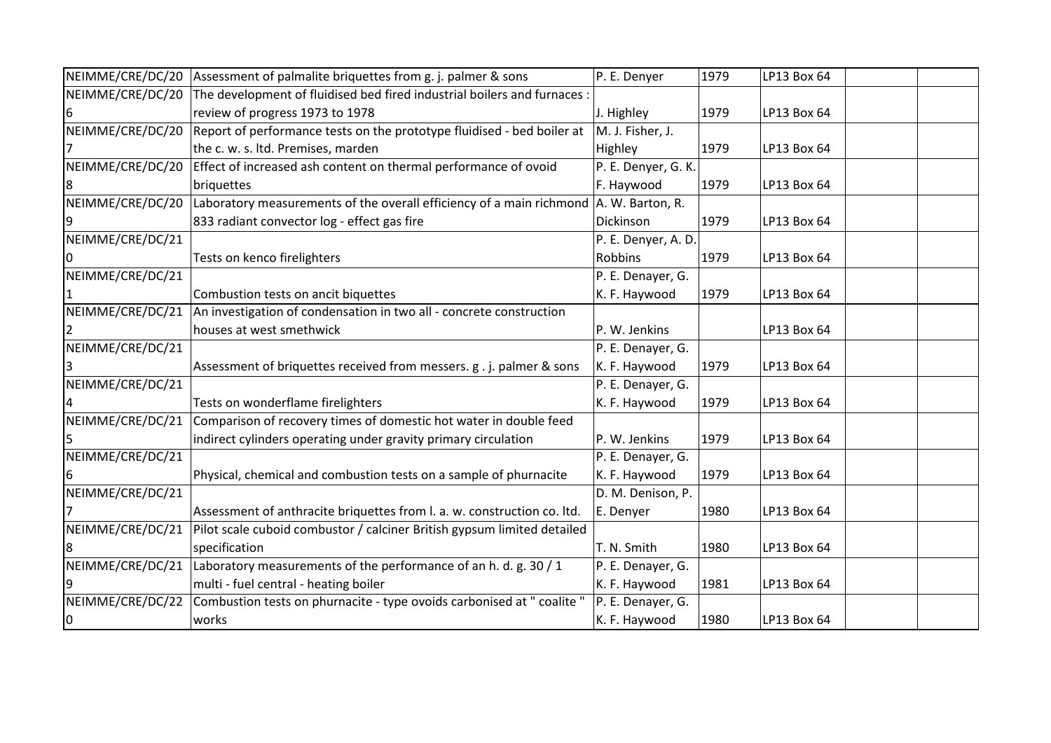|                  | NEIMME/CRE/DC/20 Assessment of palmalite briquettes from g. j. palmer & sons | P. E. Denyer        | 1979 | LP13 Box 64 |  |
|------------------|------------------------------------------------------------------------------|---------------------|------|-------------|--|
| NEIMME/CRE/DC/20 | The development of fluidised bed fired industrial boilers and furnaces :     |                     |      |             |  |
| 6                | review of progress 1973 to 1978                                              | J. Highley          | 1979 | LP13 Box 64 |  |
| NEIMME/CRE/DC/20 | Report of performance tests on the prototype fluidised - bed boiler at       | M. J. Fisher, J.    |      |             |  |
|                  | the c. w. s. ltd. Premises, marden                                           | Highley             | 1979 | LP13 Box 64 |  |
| NEIMME/CRE/DC/20 | Effect of increased ash content on thermal performance of ovoid              | P. E. Denyer, G. K. |      |             |  |
| 8                | briquettes                                                                   | F. Haywood          | 1979 | LP13 Box 64 |  |
| NEIMME/CRE/DC/20 | Laboratory measurements of the overall efficiency of a main richmond         | A. W. Barton, R.    |      |             |  |
| 9                | 833 radiant convector log - effect gas fire                                  | Dickinson           | 1979 | LP13 Box 64 |  |
| NEIMME/CRE/DC/21 |                                                                              | P. E. Denyer, A. D. |      |             |  |
| 0                | Tests on kenco firelighters                                                  | Robbins             | 1979 | LP13 Box 64 |  |
| NEIMME/CRE/DC/21 |                                                                              | P. E. Denayer, G.   |      |             |  |
| 1                | Combustion tests on ancit biquettes                                          | K. F. Haywood       | 1979 | LP13 Box 64 |  |
| NEIMME/CRE/DC/21 | An investigation of condensation in two all - concrete construction          |                     |      |             |  |
|                  | houses at west smethwick                                                     | P. W. Jenkins       |      | LP13 Box 64 |  |
| NEIMME/CRE/DC/21 |                                                                              | P. E. Denayer, G.   |      |             |  |
| 3                | Assessment of briquettes received from messers. g. j. palmer & sons          | K. F. Haywood       | 1979 | LP13 Box 64 |  |
| NEIMME/CRE/DC/21 |                                                                              | P. E. Denayer, G.   |      |             |  |
| 4                | Tests on wonderflame firelighters                                            | K. F. Haywood       | 1979 | LP13 Box 64 |  |
| NEIMME/CRE/DC/21 | Comparison of recovery times of domestic hot water in double feed            |                     |      |             |  |
|                  | indirect cylinders operating under gravity primary circulation               | P. W. Jenkins       | 1979 | LP13 Box 64 |  |
| NEIMME/CRE/DC/21 |                                                                              | P. E. Denayer, G.   |      |             |  |
| 6                | Physical, chemical and combustion tests on a sample of phurnacite            | K. F. Haywood       | 1979 | LP13 Box 64 |  |
| NEIMME/CRE/DC/21 |                                                                              | D. M. Denison, P.   |      |             |  |
|                  | Assessment of anthracite briquettes from I. a. w. construction co. Itd.      | E. Denyer           | 1980 | LP13 Box 64 |  |
| NEIMME/CRE/DC/21 | Pilot scale cuboid combustor / calciner British gypsum limited detailed      |                     |      |             |  |
| 8                | specification                                                                | T. N. Smith         | 1980 | LP13 Box 64 |  |
| NEIMME/CRE/DC/21 | Laboratory measurements of the performance of an h. d. g. 30 / 1             | P. E. Denayer, G.   |      |             |  |
| 9                | multi - fuel central - heating boiler                                        | K. F. Haywood       | 1981 | LP13 Box 64 |  |
| NEIMME/CRE/DC/22 | Combustion tests on phurnacite - type ovoids carbonised at " coalite "       | P. E. Denayer, G.   |      |             |  |
| 0                | works                                                                        | K. F. Haywood       | 1980 | LP13 Box 64 |  |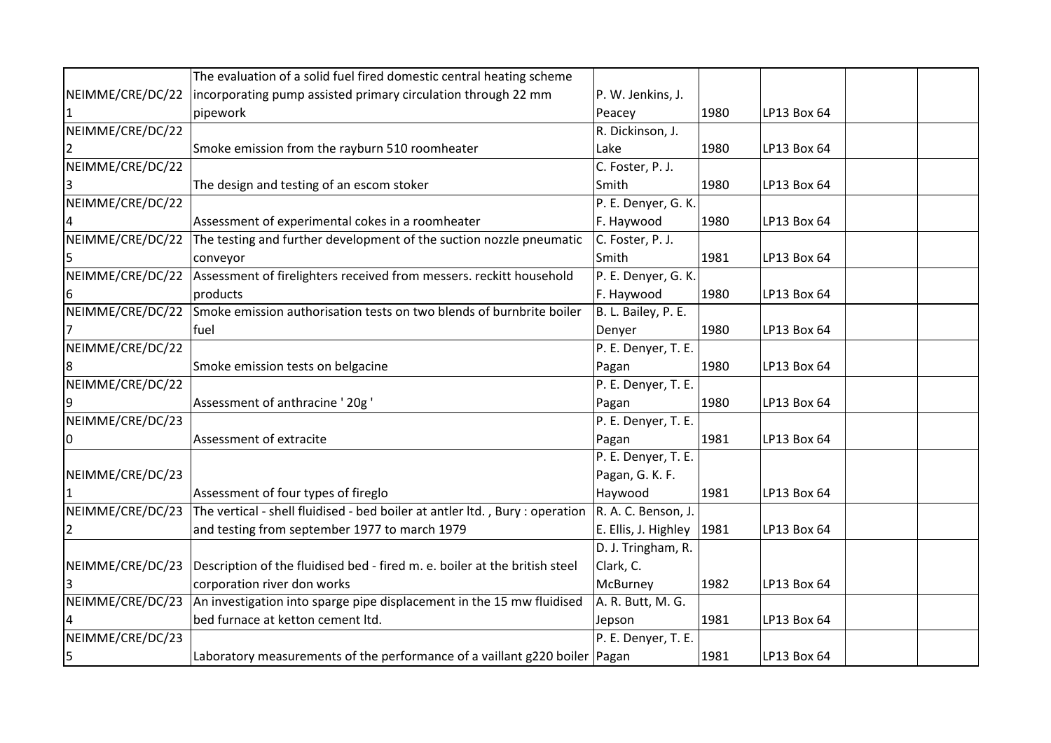|                  | The evaluation of a solid fuel fired domestic central heating scheme                                 |                      |      |             |  |
|------------------|------------------------------------------------------------------------------------------------------|----------------------|------|-------------|--|
| NEIMME/CRE/DC/22 | incorporating pump assisted primary circulation through 22 mm                                        | P. W. Jenkins, J.    |      |             |  |
|                  | pipework                                                                                             | Peacey               | 1980 | LP13 Box 64 |  |
| NEIMME/CRE/DC/22 |                                                                                                      | R. Dickinson, J.     |      |             |  |
|                  |                                                                                                      |                      |      |             |  |
| 2                | Smoke emission from the rayburn 510 roomheater                                                       | Lake                 | 1980 | LP13 Box 64 |  |
| NEIMME/CRE/DC/22 |                                                                                                      | C. Foster, P. J.     |      |             |  |
|                  | The design and testing of an escom stoker                                                            | Smith                | 1980 | LP13 Box 64 |  |
| NEIMME/CRE/DC/22 |                                                                                                      | P. E. Denyer, G. K.  |      |             |  |
|                  | Assessment of experimental cokes in a roomheater                                                     | F. Haywood           | 1980 | LP13 Box 64 |  |
| NEIMME/CRE/DC/22 | The testing and further development of the suction nozzle pneumatic                                  | C. Foster, P. J.     |      |             |  |
|                  | conveyor                                                                                             | Smith                | 1981 | LP13 Box 64 |  |
| NEIMME/CRE/DC/22 | Assessment of firelighters received from messers. reckitt household                                  | P. E. Denyer, G. K.  |      |             |  |
| 6                | products                                                                                             | F. Haywood           | 1980 | LP13 Box 64 |  |
| NEIMME/CRE/DC/22 | Smoke emission authorisation tests on two blends of burnbrite boiler                                 | B. L. Bailey, P. E.  |      |             |  |
|                  | lfuel                                                                                                | Denyer               | 1980 | LP13 Box 64 |  |
| NEIMME/CRE/DC/22 |                                                                                                      | P. E. Denyer, T. E.  |      |             |  |
| 8                | Smoke emission tests on belgacine                                                                    | Pagan                | 1980 | LP13 Box 64 |  |
| NEIMME/CRE/DC/22 |                                                                                                      | P. E. Denyer, T. E.  |      |             |  |
| 9                | Assessment of anthracine ' 20g '                                                                     | Pagan                | 1980 | LP13 Box 64 |  |
| NEIMME/CRE/DC/23 |                                                                                                      | P. E. Denyer, T. E.  |      |             |  |
| 0                | Assessment of extracite                                                                              | Pagan                | 1981 | LP13 Box 64 |  |
|                  |                                                                                                      | P. E. Denyer, T. E.  |      |             |  |
| NEIMME/CRE/DC/23 |                                                                                                      | Pagan, G. K. F.      |      |             |  |
|                  | Assessment of four types of fireglo                                                                  | Haywood              | 1981 | LP13 Box 64 |  |
| NEIMME/CRE/DC/23 | The vertical - shell fluidised - bed boiler at antler ltd., Bury : operation $ R$ . A. C. Benson, J. |                      |      |             |  |
| 2                | and testing from september 1977 to march 1979                                                        | E. Ellis, J. Highley | 1981 | LP13 Box 64 |  |
|                  |                                                                                                      | D. J. Tringham, R.   |      |             |  |
| NEIMME/CRE/DC/23 | Description of the fluidised bed - fired m. e. boiler at the british steel                           | Clark, C.            |      |             |  |
| 3                | corporation river don works                                                                          | McBurney             | 1982 | LP13 Box 64 |  |
| NEIMME/CRE/DC/23 | An investigation into sparge pipe displacement in the 15 mw fluidised                                | A. R. Butt, M. G.    |      |             |  |
|                  | bed furnace at ketton cement ltd.                                                                    | Jepson               | 1981 | LP13 Box 64 |  |
| NEIMME/CRE/DC/23 |                                                                                                      | P. E. Denyer, T. E.  |      |             |  |
| 5                | Laboratory measurements of the performance of a vaillant g220 boiler   Pagan                         |                      | 1981 | LP13 Box 64 |  |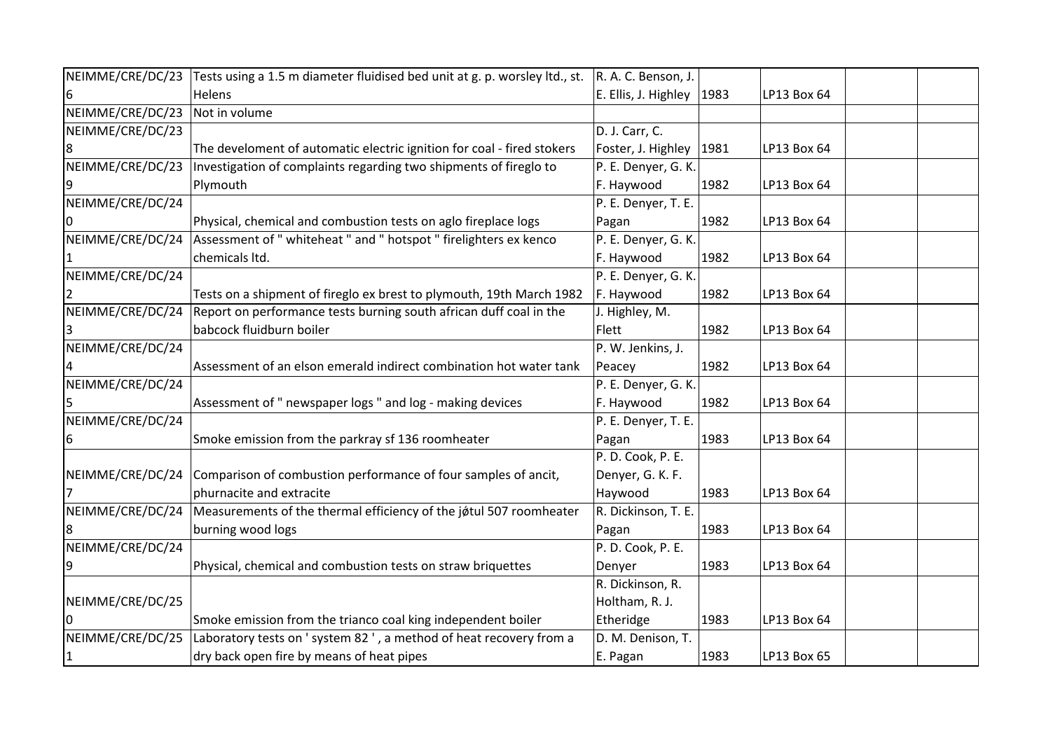| NEIMME/CRE/DC/23 | Tests using a 1.5 m diameter fluidised bed unit at g. p. worsley ltd., st. | R. A. C. Benson, J.  |      |             |  |
|------------------|----------------------------------------------------------------------------|----------------------|------|-------------|--|
| 6                | Helens                                                                     | E. Ellis, J. Highley | 1983 | LP13 Box 64 |  |
| NEIMME/CRE/DC/23 | Not in volume                                                              |                      |      |             |  |
| NEIMME/CRE/DC/23 |                                                                            | D. J. Carr, C.       |      |             |  |
| 8                | The develoment of automatic electric ignition for coal - fired stokers     | Foster, J. Highley   | 1981 | LP13 Box 64 |  |
| NEIMME/CRE/DC/23 | Investigation of complaints regarding two shipments of fireglo to          | P. E. Denyer, G. K.  |      |             |  |
| 9                | Plymouth                                                                   | F. Haywood           | 1982 | LP13 Box 64 |  |
| NEIMME/CRE/DC/24 |                                                                            | P. E. Denyer, T. E.  |      |             |  |
|                  | Physical, chemical and combustion tests on aglo fireplace logs             | Pagan                | 1982 | LP13 Box 64 |  |
| NEIMME/CRE/DC/24 | Assessment of " whiteheat " and " hotspot " firelighters ex kenco          | P. E. Denyer, G. K.  |      |             |  |
|                  | chemicals Itd.                                                             | F. Haywood           | 1982 | LP13 Box 64 |  |
| NEIMME/CRE/DC/24 |                                                                            | P. E. Denyer, G. K.  |      |             |  |
| 2                | Tests on a shipment of fireglo ex brest to plymouth, 19th March 1982       | F. Haywood           | 1982 | LP13 Box 64 |  |
| NEIMME/CRE/DC/24 | Report on performance tests burning south african duff coal in the         | J. Highley, M.       |      |             |  |
|                  | babcock fluidburn boiler                                                   | Flett                | 1982 | LP13 Box 64 |  |
| NEIMME/CRE/DC/24 |                                                                            | P. W. Jenkins, J.    |      |             |  |
|                  | Assessment of an elson emerald indirect combination hot water tank         | Peacey               | 1982 | LP13 Box 64 |  |
| NEIMME/CRE/DC/24 |                                                                            | P. E. Denyer, G. K.  |      |             |  |
| 5                | Assessment of " newspaper logs " and log - making devices                  | F. Haywood           | 1982 | LP13 Box 64 |  |
| NEIMME/CRE/DC/24 |                                                                            | P. E. Denyer, T. E.  |      |             |  |
| 6                | Smoke emission from the parkray sf 136 roomheater                          | Pagan                | 1983 | LP13 Box 64 |  |
|                  |                                                                            | P.D. Cook, P.E.      |      |             |  |
| NEIMME/CRE/DC/24 | Comparison of combustion performance of four samples of ancit,             | Denyer, G. K. F.     |      |             |  |
|                  | phurnacite and extracite                                                   | Haywood              | 1983 | LP13 Box 64 |  |
| NEIMME/CRE/DC/24 | Measurements of the thermal efficiency of the jøtul 507 roomheater         | R. Dickinson, T. E.  |      |             |  |
| 18               | burning wood logs                                                          | Pagan                | 1983 | LP13 Box 64 |  |
| NEIMME/CRE/DC/24 |                                                                            | P.D. Cook, P.E.      |      |             |  |
| 9                | Physical, chemical and combustion tests on straw briquettes                | Denyer               | 1983 | LP13 Box 64 |  |
|                  |                                                                            | R. Dickinson, R.     |      |             |  |
| NEIMME/CRE/DC/25 |                                                                            | Holtham, R. J.       |      |             |  |
|                  | Smoke emission from the trianco coal king independent boiler               | Etheridge            | 1983 | LP13 Box 64 |  |
| NEIMME/CRE/DC/25 | Laboratory tests on ' system 82 ', a method of heat recovery from a        | D. M. Denison, T.    |      |             |  |
| 1                | dry back open fire by means of heat pipes                                  | E. Pagan             | 1983 | LP13 Box 65 |  |